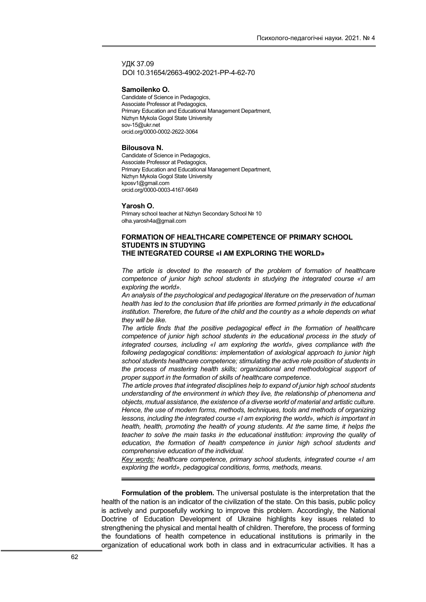УДК 37.09 DOI 10.31654/2663-4902-2021-РР-4-62-70

#### Samoilenko O.

Candidate of Science in Pedagogics, Associate Professor at Pedagogics, Primary Education and Educational Management Department, Nizhyn Mykola Gogol State University sov-15@ukr.net orcid.org/0000-0002-2622-3064

#### Bilousova N.

Candidate of Science in Pedagogics, Associate Professor at Pedagogics, Primary Education and Educational Management Department, Nizhyn Mykola Gogol State University kposv1@gmail.com orcid.org/0000-0003-4167-9649

### Yarosh O.

Primary school teacher at Nizhyn Secondary School № 10 olha.yarosh4a@gmail.com

# FORMATION OF HEALTHCARE COMPETENCE OF PRIMARY SCHOOL STUDENTS IN STUDYING THE INTEGRATED COURSE «I AM EXPLORING THE WORLD»

The article is devoted to the research of the problem of formation of healthcare competence of junior high school students in studying the integrated course «I am exploring the world».

An analysis of the psychological and pedagogical literature on the preservation of human health has led to the conclusion that life priorities are formed primarily in the educational institution. Therefore, the future of the child and the country as a whole depends on what they will be like.

The article finds that the positive pedagogical effect in the formation of healthcare competence of junior high school students in the educational process in the study of integrated courses, including «I am exploring the world», gives compliance with the following pedagogical conditions: implementation of axiological approach to junior high school students healthcare competence; stimulating the active role position of students in the process of mastering health skills; organizational and methodological support of proper support in the formation of skills of healthcare competence.

The article proves that integrated disciplines help to expand of junior high school students understanding of the environment in which they live, the relationship of phenomena and objects, mutual assistance, the existence of a diverse world of material and artistic culture. Hence, the use of modern forms, methods, techniques, tools and methods of organizing lessons, including the integrated course «I am exploring the world», which is important in health, health, promoting the health of young students. At the same time, it helps the teacher to solve the main tasks in the educational institution: improving the quality of education, the formation of health competence in junior high school students and comprehensive education of the individual.

Key words: healthcare competence, primary school students, integrated course «I am exploring the world», pedagogical conditions, forms, methods, means.

Formulation of the problem. The universal postulate is the interpretation that the health of the nation is an indicator of the civilization of the state. On this basis, public policy is actively and purposefully working to improve this problem. Accordingly, the National Doctrine of Education Development of Ukraine highlights key issues related to strengthening the physical and mental health of children. Therefore, the process of forming the foundations of health competence in educational institutions is primarily in the organization of educational work both in class and in extracurricular activities. It has a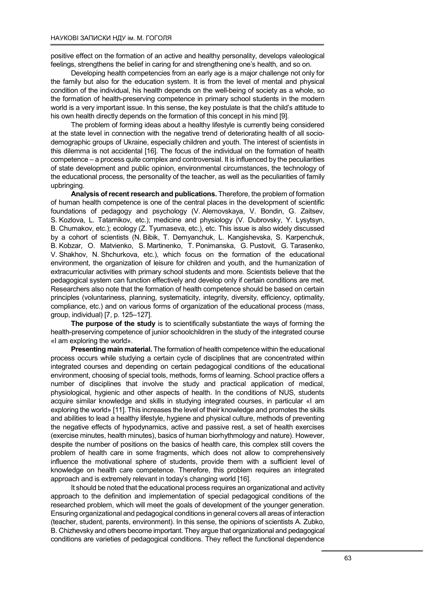positive effect on the formation of an active and healthy personality, develops valeological feelings, strengthens the belief in caring for and strengthening one's health, and so on.

Developing health competencies from an early age is a major challenge not only for the family but also for the education system. It is from the level of mental and physical condition of the individual, his health depends on the well-being of society as a whole, so the formation of health-preserving competence in primary school students in the modern world is a very important issue. In this sense, the key postulate is that the child's attitude to his own health directly depends on the formation of this concept in his mind [9].

The problem of forming ideas about a healthy lifestyle is currently being considered at the state level in connection with the negative trend of deteriorating health of all sociodemographic groups of Ukraine, especially children and youth. The interest of scientists in this dilemma is not accidental [16]. The focus of the individual on the formation of health competence – a process quite complex and controversial. It is influenced by the peculiarities of state development and public opinion, environmental circumstances, the technology of the educational process, the personality of the teacher, as well as the peculiarities of family upbringing.

Analysis of recent research and publications. Therefore, the problem of formation of human health competence is one of the central places in the development of scientific foundations of pedagogy and psychology (V. Alemovskaya, V. Bondin, G. Zaitsev, S. Kozlova, L. Tatarnikov, etc.); medicine and physiology (V. Dubrovsky, Y. Lysytsyn, B. Chumakov, etc.); ecology (Z. Tyumaseva, etc.), etc. This issue is also widely discussed by a cohort of scientists (N. Bibik, T. Demyanchuk, L. Kangishevska, S. Karpenchuk, B. Kobzar, O. Matvienko, S. Martinenko, T. Ponimanska, G. Pustovit, G. Tarasenko, V. Shakhov, N. Shchurkova, etc.), which focus on the formation of the educational environment, the organization of leisure for children and youth, and the humanization of extracurricular activities with primary school students and more. Scientists believe that the pedagogical system can function effectively and develop only if certain conditions are met. Researchers also note that the formation of health competence should be based on certain principles (voluntariness, planning, systematicity, integrity, diversity, efficiency, optimality, compliance, etc.) and on various forms of organization of the educational process (mass, group, individual) [7, p. 125–127].

The purpose of the study is to scientifically substantiate the ways of forming the health-preserving competence of junior schoolchildren in the study of the integrated course «I am exploring the world».

Presenting main material. The formation of health competence within the educational process occurs while studying a certain cycle of disciplines that are concentrated within integrated courses and depending on certain pedagogical conditions of the educational environment, choosing of special tools, methods, forms of learning. School practice offers a number of disciplines that involve the study and practical application of medical, physiological, hygienic and other aspects of health. In the conditions of NUS, students acquire similar knowledge and skills in studying integrated courses, in particular «I am exploring the world» [11]. This increases the level of their knowledge and promotes the skills and abilities to lead a healthy lifestyle, hygiene and physical culture, methods of preventing the negative effects of hypodynamics, active and passive rest, a set of health exercises (exercise minutes, health minutes), basics of human biorhythmology and nature). However, despite the number of positions on the basics of health care, this complex still covers the problem of health care in some fragments, which does not allow to comprehensively influence the motivational sphere of students, provide them with a sufficient level of knowledge on health care competence. Therefore, this problem requires an integrated approach and is extremely relevant in today's changing world [16].

It should be noted that the educational process requires an organizational and activity approach to the definition and implementation of special pedagogical conditions of the researched problem, which will meet the goals of development of the younger generation. Ensuring organizational and pedagogical conditions in general covers all areas of interaction (teacher, student, parents, environment). In this sense, the opinions of scientists A. Zubko, B. Chizhevsky and others become important. They argue that organizational and pedagogical conditions are varieties of pedagogical conditions. They reflect the functional dependence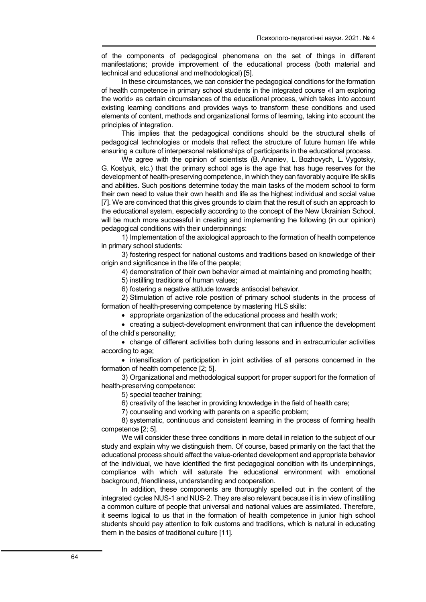of the components of pedagogical phenomena on the set of things in different manifestations; provide improvement of the educational process (both material and technical and educational and methodological) [5].

In these circumstances, we can consider the pedagogical conditions for the formation of health competence in primary school students in the integrated course «I am exploring the world» as certain circumstances of the educational process, which takes into account existing learning conditions and provides ways to transform these conditions and used elements of content, methods and organizational forms of learning, taking into account the principles of integration.

This implies that the pedagogical conditions should be the structural shells of pedagogical technologies or models that reflect the structure of future human life while ensuring a culture of interpersonal relationships of participants in the educational process.

We agree with the opinion of scientists (B. Ananiev, L. Bozhovych, L. Vygotsky, G. Kostyuk, etc.) that the primary school age is the age that has huge reserves for the development of health-preserving competence, in which they can favorably acquire life skills and abilities. Such positions determine today the main tasks of the modern school to form their own need to value their own health and life as the highest individual and social value [7]. We are convinced that this gives grounds to claim that the result of such an approach to the educational system, especially according to the concept of the New Ukrainian School, will be much more successful in creating and implementing the following (in our opinion) pedagogical conditions with their underpinnings:

1) Implementation of the axiological approach to the formation of health competence in primary school students:

3) fostering respect for national customs and traditions based on knowledge of their origin and significance in the life of the people;

4) demonstration of their own behavior aimed at maintaining and promoting health;

5) instilling traditions of human values;

6) fostering a negative attitude towards antisocial behavior.

2) Stimulation of active role position of primary school students in the process of formation of health-preserving competence by mastering HLS skills:

appropriate organization of the educational process and health work;

 creating a subject-development environment that can influence the development of the child's personality;

 change of different activities both during lessons and in extracurricular activities according to age;

• intensification of participation in joint activities of all persons concerned in the formation of health competence [2; 5].

3) Organizational and methodological support for proper support for the formation of health-preserving competence:

5) special teacher training;

6) creativity of the teacher in providing knowledge in the field of health care;

7) counseling and working with parents on a specific problem;

8) systematic, continuous and consistent learning in the process of forming health competence [2; 5].

We will consider these three conditions in more detail in relation to the subject of our study and explain why we distinguish them. Of course, based primarily on the fact that the educational process should affect the value-oriented development and appropriate behavior of the individual, we have identified the first pedagogical condition with its underpinnings, compliance with which will saturate the educational environment with emotional background, friendliness, understanding and cooperation.

In addition, these components are thoroughly spelled out in the content of the integrated cycles NUS-1 and NUS-2. They are also relevant because it is in view of instilling a common culture of people that universal and national values are assimilated. Therefore, it seems logical to us that in the formation of health competence in junior high school students should pay attention to folk customs and traditions, which is natural in educating them in the basics of traditional culture [11].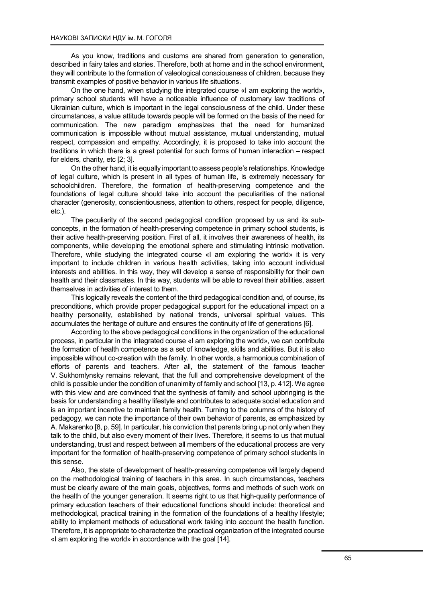As you know, traditions and customs are shared from generation to generation, described in fairy tales and stories. Therefore, both at home and in the school environment, they will contribute to the formation of valeological consciousness of children, because they transmit examples of positive behavior in various life situations.

On the one hand, when studying the integrated course «I am exploring the world», primary school students will have a noticeable influence of customary law traditions of Ukrainian culture, which is important in the legal consciousness of the child. Under these circumstances, a value attitude towards people will be formed on the basis of the need for communication. The new paradigm emphasizes that the need for humanized communication is impossible without mutual assistance, mutual understanding, mutual respect, compassion and empathy. Accordingly, it is proposed to take into account the traditions in which there is a great potential for such forms of human interaction – respect for elders, charity, etc [2; 3].

On the other hand, it is equally important to assess people's relationships. Knowledge of legal culture, which is present in all types of human life, is extremely necessary for schoolchildren. Therefore, the formation of health-preserving competence and the foundations of legal culture should take into account the peculiarities of the national character (generosity, conscientiousness, attention to others, respect for people, diligence, etc.).

The peculiarity of the second pedagogical condition proposed by us and its subconcepts, in the formation of health-preserving competence in primary school students, is their active health-preserving position. First of all, it involves their awareness of health, its components, while developing the emotional sphere and stimulating intrinsic motivation. Therefore, while studying the integrated course «I am exploring the world» it is very important to include children in various health activities, taking into account individual interests and abilities. In this way, they will develop a sense of responsibility for their own health and their classmates. In this way, students will be able to reveal their abilities, assert themselves in activities of interest to them.

This logically reveals the content of the third pedagogical condition and, of course, its preconditions, which provide proper pedagogical support for the educational impact on a healthy personality, established by national trends, universal spiritual values. This accumulates the heritage of culture and ensures the continuity of life of generations [6].

According to the above pedagogical conditions in the organization of the educational process, in particular in the integrated course «I am exploring the world», we can contribute the formation of health competence as a set of knowledge, skills and abilities. But it is also impossible without co-creation with the family. In other words, a harmonious combination of efforts of parents and teachers. After all, the statement of the famous teacher V. Sukhomlynsky remains relevant, that the full and comprehensive development of the child is possible under the condition of unanimity of family and school [13, p. 412]. We agree with this view and are convinced that the synthesis of family and school upbringing is the basis for understanding a healthy lifestyle and contributes to adequate social education and is an important incentive to maintain family health. Turning to the columns of the history of pedagogy, we can note the importance of their own behavior of parents, as emphasized by A. Makarenko [8, p. 59]. In particular, his conviction that parents bring up not only when they talk to the child, but also every moment of their lives. Therefore, it seems to us that mutual understanding, trust and respect between all members of the educational process are very important for the formation of health-preserving competence of primary school students in this sense.

Also, the state of development of health-preserving competence will largely depend on the methodological training of teachers in this area. In such circumstances, teachers must be clearly aware of the main goals, objectives, forms and methods of such work on the health of the younger generation. It seems right to us that high-quality performance of primary education teachers of their educational functions should include: theoretical and methodological, practical training in the formation of the foundations of a healthy lifestyle; ability to implement methods of educational work taking into account the health function. Therefore, it is appropriate to characterize the practical organization of the integrated course «I am exploring the world» in accordance with the goal [14].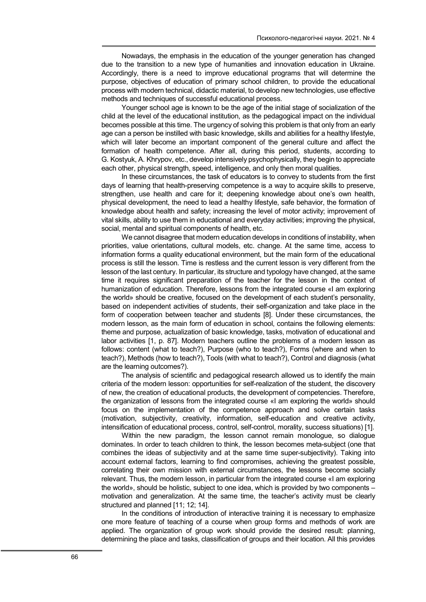Nowadays, the emphasis in the education of the younger generation has changed due to the transition to a new type of humanities and innovation education in Ukraine. Accordingly, there is a need to improve educational programs that will determine the purpose, objectives of education of primary school children, to provide the educational process with modern technical, didactic material, to develop new technologies, use effective methods and techniques of successful educational process.

Younger school age is known to be the age of the initial stage of socialization of the child at the level of the educational institution, as the pedagogical impact on the individual becomes possible at this time. The urgency of solving this problem is that only from an early age can a person be instilled with basic knowledge, skills and abilities for a healthy lifestyle, which will later become an important component of the general culture and affect the formation of health competence. After all, during this period, students, according to G. Kostyuk, A. Khrypov, etc., develop intensively psychophysically, they begin to appreciate each other, physical strength, speed, intelligence, and only then moral qualities.

In these circumstances, the task of educators is to convey to students from the first days of learning that health-preserving competence is a way to acquire skills to preserve, strengthen, use health and care for it; deepening knowledge about one's own health, physical development, the need to lead a healthy lifestyle, safe behavior, the formation of knowledge about health and safety; increasing the level of motor activity; improvement of vital skills, ability to use them in educational and everyday activities; improving the physical, social, mental and spiritual components of health, etc.

We cannot disagree that modern education develops in conditions of instability, when priorities, value orientations, cultural models, etc. change. At the same time, access to information forms a quality educational environment, but the main form of the educational process is still the lesson. Time is restless and the current lesson is very different from the lesson of the last century. In particular, its structure and typology have changed, at the same time it requires significant preparation of the teacher for the lesson in the context of humanization of education. Therefore, lessons from the integrated course «I am exploring the world» should be creative, focused on the development of each student's personality, based on independent activities of students, their self-organization and take place in the form of cooperation between teacher and students [8]. Under these circumstances, the modern lesson, as the main form of education in school, contains the following elements: theme and purpose, actualization of basic knowledge, tasks, motivation of educational and labor activities [1, p. 87]. Modern teachers outline the problems of a modern lesson as follows: content (what to teach?), Purpose (who to teach?), Forms (where and when to teach?), Methods (how to teach?), Tools (with what to teach?), Control and diagnosis (what are the learning outcomes?).

The analysis of scientific and pedagogical research allowed us to identify the main criteria of the modern lesson: opportunities for self-realization of the student, the discovery of new, the creation of educational products, the development of competencies. Therefore, the organization of lessons from the integrated course «I am exploring the world» should focus on the implementation of the competence approach and solve certain tasks (motivation, subjectivity, creativity, information, self-education and creative activity, intensification of educational process, control, self-control, morality, success situations) [1].

Within the new paradigm, the lesson cannot remain monologue, so dialogue dominates. In order to teach children to think, the lesson becomes meta-subject (one that combines the ideas of subjectivity and at the same time super-subjectivity). Taking into account external factors, learning to find compromises, achieving the greatest possible, correlating their own mission with external circumstances, the lessons become socially relevant. Thus, the modern lesson, in particular from the integrated course «I am exploring the world», should be holistic, subject to one idea, which is provided by two components – motivation and generalization. At the same time, the teacher's activity must be clearly structured and planned [11; 12; 14].

In the conditions of introduction of interactive training it is necessary to emphasize one more feature of teaching of a course when group forms and methods of work are applied. The organization of group work should provide the desired result: planning, determining the place and tasks, classification of groups and their location. All this provides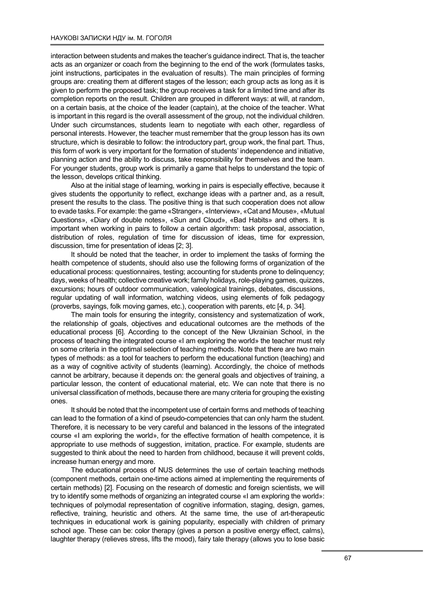interaction between students and makes the teacher's guidance indirect. That is, the teacher acts as an organizer or coach from the beginning to the end of the work (formulates tasks, joint instructions, participates in the evaluation of results). The main principles of forming groups are: creating them at different stages of the lesson; each group acts as long as it is given to perform the proposed task; the group receives a task for a limited time and after its completion reports on the result. Children are grouped in different ways: at will, at random, on a certain basis, at the choice of the leader (captain), at the choice of the teacher. What is important in this regard is the overall assessment of the group, not the individual children. Under such circumstances, students learn to negotiate with each other, regardless of personal interests. However, the teacher must remember that the group lesson has its own structure, which is desirable to follow: the introductory part, group work, the final part. Thus, this form of work is very important for the formation of students' independence and initiative, planning action and the ability to discuss, take responsibility for themselves and the team. For younger students, group work is primarily a game that helps to understand the topic of the lesson, develops critical thinking.

Also at the initial stage of learning, working in pairs is especially effective, because it gives students the opportunity to reflect, exchange ideas with a partner and, as a result, present the results to the class. The positive thing is that such cooperation does not allow to evade tasks. For example: the game «Stranger», «Interview», «Cat and Mouse», «Mutual Questions», «Diary of double notes», «Sun and Cloud», «Bad Habits» and others. It is important when working in pairs to follow a certain algorithm: task proposal, association, distribution of roles, regulation of time for discussion of ideas, time for expression, discussion, time for presentation of ideas [2; 3].

It should be noted that the teacher, in order to implement the tasks of forming the health competence of students, should also use the following forms of organization of the educational process: questionnaires, testing; accounting for students prone to delinquency; days, weeks of health; collective creative work; family holidays, role-playing games, quizzes, excursions; hours of outdoor communication, valeological trainings, debates, discussions, regular updating of wall information, watching videos, using elements of folk pedagogy (proverbs, sayings, folk moving games, etc.), cooperation with parents, etc [4, p. 34].

The main tools for ensuring the integrity, consistency and systematization of work, the relationship of goals, objectives and educational outcomes are the methods of the educational process [6]. According to the concept of the New Ukrainian School, in the process of teaching the integrated course «I am exploring the world» the teacher must rely on some criteria in the optimal selection of teaching methods. Note that there are two main types of methods: as a tool for teachers to perform the educational function (teaching) and as a way of cognitive activity of students (learning). Accordingly, the choice of methods cannot be arbitrary, because it depends on: the general goals and objectives of training, a particular lesson, the content of educational material, etc. We can note that there is no universal classification of methods, because there are many criteria for grouping the existing ones.

It should be noted that the incompetent use of certain forms and methods of teaching can lead to the formation of a kind of pseudo-competencies that can only harm the student. Therefore, it is necessary to be very careful and balanced in the lessons of the integrated course «I am exploring the world», for the effective formation of health competence, it is appropriate to use methods of suggestion, imitation, practice. For example, students are suggested to think about the need to harden from childhood, because it will prevent colds, increase human energy and more.

The educational process of NUS determines the use of certain teaching methods (component methods, certain one-time actions aimed at implementing the requirements of certain methods) [2]. Focusing on the research of domestic and foreign scientists, we will try to identify some methods of organizing an integrated course «I am exploring the world»: techniques of polymodal representation of cognitive information, staging, design, games, reflective, training, heuristic and others. At the same time, the use of art-therapeutic techniques in educational work is gaining popularity, especially with children of primary school age. These can be: color therapy (gives a person a positive energy effect, calms), laughter therapy (relieves stress, lifts the mood), fairy tale therapy (allows you to lose basic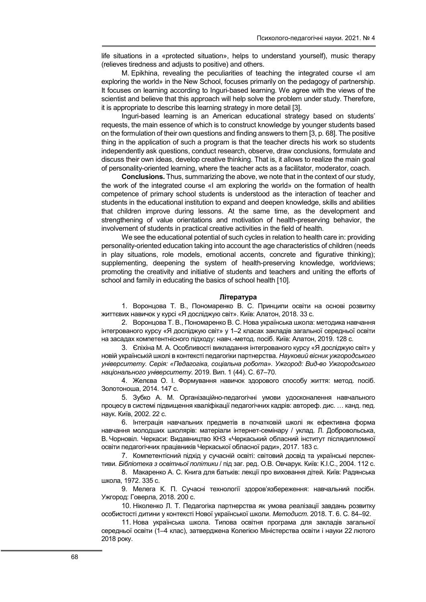life situations in a «protected situation», helps to understand yourself), music therapy (relieves tiredness and adjusts to positive) and others.

M. Epikhina, revealing the peculiarities of teaching the integrated course «I am exploring the world» in the New School, focuses primarily on the pedagogy of partnership. It focuses on learning according to Inguri-based learning. We agree with the views of the scientist and believe that this approach will help solve the problem under study. Therefore, it is appropriate to describe this learning strategy in more detail [3].

Inguri-based learning is an American educational strategy based on students' requests, the main essence of which is to construct knowledge by younger students based on the formulation of their own questions and finding answers to them [3, p. 68]. The positive thing in the application of such a program is that the teacher directs his work so students independently ask questions, conduct research, observe, draw conclusions, formulate and discuss their own ideas, develop creative thinking. That is, it allows to realize the main goal of personality-oriented learning, where the teacher acts as a facilitator, moderator, coach.

Conclusions. Thus, summarizing the above, we note that in the context of our study, the work of the integrated course «I am exploring the world» on the formation of health competence of primary school students is understood as the interaction of teacher and students in the educational institution to expand and deepen knowledge, skills and abilities that children improve during lessons. At the same time, as the development and strengthening of value orientations and motivation of health-preserving behavior, the involvement of students in practical creative activities in the field of health.

We see the educational potential of such cycles in relation to health care in: providing personality-oriented education taking into account the age characteristics of children (needs in play situations, role models, emotional accents, concrete and figurative thinking); supplementing, deepening the system of health-preserving knowledge, worldviews; promoting the creativity and initiative of students and teachers and uniting the efforts of school and family in educating the basics of school health [10].

# Література

1. Воронцова Т. В., Пономаренко В. С. Принципи освіти на основі розвитку життєвих навичок у курсі «Я досліджую світ». Київ: Алатон, 2018. 33 с.

2. Воронцова Т. В., Пономаренко В. С. Нова українська школа: методика навчання інтегрованого курсу «Я досліджую світ» у 1–2 класах закладів загальної середньої освіти на засадах компетентнісного підходу: навч.-метод. посіб. Київ: Алатон, 2019. 128 с.

3. Єпіхіна М. А. Особливості викладання інтегрованого курсу «Я досліджую світ» у новій українській школі в контексті педагогіки партнерства. Науковий вісник ужгородського університету. Серія: «Педагогіка, соціальна робота». Ужгород: Вид-во Ужгородського національного університету. 2019. Вип. 1 (44). С. 67–70.

4. Желєва О. І. Формування навичок здорового способу життя: метод. посіб. Золотоноша, 2014. 147 с.

5. Зубко А. М. Організаційно-педагогічні умови удосконалення навчального процесу в системі підвищення кваліфікації педагогічних кадрів: автореф. дис. … канд. пед. наук. Київ, 2002. 22 с.

6. Інтеграція навчальних предметів в початковій школі як ефективна форма навчання молодших школярів: матеріали інтернет-семінару / уклад. Л. Добровольська, В. Чорновіл. Черкаси: Видавництво КНЗ «Черкаський обласний інститут післядипломної освіти педагогічних працівників Черкаської обласної ради», 2017. 183 с.

7. Компетентісний підхід у сучасній освіті: світовий досвід та українські перспективи. Бібліотека з освітньої політики / під заг. ред. О.В. Овчарук. Київ: К.І.С., 2004. 112 с.

8. Макаренко А. С. Книга для батьків: лекції про виховання дітей. Київ: Радянська школа, 1972. 335 с.

9. Мелега К. П. Сучасні технології здоров'язбереження: навчальний посібн. Ужгород: Говерла, 2018. 200 с.

10. Ніколенко Л. Т. Педагогіка партнерства як умова реалізації завдань розвитку особистості дитини у контексті Нової української школи. Методист. 2018. Т. 6. С. 84-92.

11. Нова українська школа. Типова освітня програма для закладів загальної середньої освіти (1–4 клас), затверджена Колегією Міністерства освіти і науки 22 лютого 2018 року.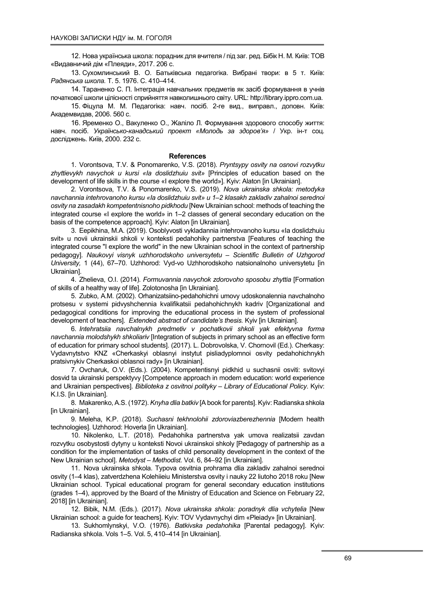12. Нова українська школа: порадник для вчителя / під заг. ред. Бібік Н. М. Київ: ТОВ «Видавничий дім «Плеяди», 2017. 206 с.

13. Сухомлинський В. О. Батьківська педагогіка. Вибрані твори: в 5 т. Київ: Радянська школа. Т. 5. 1976. С. 410–414.

14. Тараненко С. П. Інтеграція навчальних предметів як засіб формування в учнів початкової школи цілісності сприйняття навколишнього світу. URL: http://library.ippro.com.ua.

15. Фіцула М. М. Педагогіка: навч. посіб. 2-ге вид., виправл., доповн. Київ: Академвидав, 2006. 560 с.

16. Яременко О., Вакуленко О., Жаліло Л. Формування здорового способу життя: навч. посіб. Українсько-канадський проект «Молодь за здоров'я» / Укр. ін-т соц. досліджень. Київ, 2000. 232 с.

## **References**

1. Vorontsova, T.V. & Ponomarenko, V.S. (2018). Pryntsypy osvity na osnovi rozvytku zhyttievykh navychok u kursi «Ia doslidzhuiu svit» [Principles of education based on the development of life skills in the course «I explore the world»]. Kyiv: Alaton [in Ukrainian].

2. Vorontsova, T.V. & Ponomarenko, V.S. (2019). Nova ukrainska shkola: metodyka navchannia intehrovanoho kursu «Ia doslidzhuiu svit» u 1–2 klasakh zakladiv zahalnoi serednoi osvity na zasadakh kompetentnisnoho pidkhodu [New Ukrainian school: methods of teaching the integrated course «I explore the world» in 1–2 classes of general secondary education on the basis of the competence approach]. Kyiv: Alaton [in Ukrainian].

3. Eepikhina, M.A. (2019). Osoblyvosti vykladannia intehrovanoho kursu «Ia doslidzhuiu svit» u novii ukrainskii shkoli v konteksti pedahohiky partnerstva [Features of teaching the integrated course "I explore the world" in the new Ukrainian school in the context of partnership pedagogy]. Naukovyi visnyk uzhhorodskoho universytetu – Scientific Bulletin of Uzhgorod University, 1 (44), 67–70. Uzhhorod: Vyd-vo Uzhhorodskoho natsionalnoho universytetu [in Ukrainian].

4. Zhelieva, O.I. (2014). Formuvannia navychok zdorovoho sposobu zhyttia [Formation of skills of a healthy way of life]. Zolotonosha [in Ukrainian].

5. Zubko, A.M. (2002). Orhanizatsiino-pedahohichni umovy udoskonalennia navchalnoho protsesu v systemi pidvyshchennia kvalifikatsii pedahohichnykh kadriv [Organizational and pedagogical conditions for improving the educational process in the system of professional development of teachers]. Extended abstract of candidate's thesis. Kyiv [in Ukrainian].

6. Intehratsiia navchalnykh predmetiv v pochatkovii shkoli yak efektyvna forma navchannia molodshykh shkoliariv [Integration of subjects in primary school as an effective form of education for primary school students]. (2017). L. Dobrovolska, V. Chornovil (Ed.). Cherkasy: Vydavnytstvo KNZ «Cherkaskyi oblasnyi instytut pisliadyplomnoi osvity pedahohichnykh pratsivnykiv Cherkaskoi oblasnoi rady» [in Ukrainian].

7. Ovcharuk, O.V. (Eds.). (2004). Kompetentisnyi pidkhid u suchasnii osviti: svitovyi dosvid ta ukrainski perspektyvy [Competence approach in modern education: world experience and Ukrainian perspectives]. Biblioteka z osvitnoi polityky – Library of Educational Policy. Kyiv: K.I.S. [in Ukrainian].

8. Makarenko, A.S. (1972). Knyha dlia batkiv [A book for parents]. Kyiv: Radianska shkola [in Ukrainian].

9. Meleha, K.P. (2018). Suchasni tekhnolohii zdoroviazberezhennia [Modern health technologies]. Uzhhorod: Hoverla [in Ukrainian].

10. Nikolenko, L.T. (2018). Pedahohika partnerstva yak umova realizatsii zavdan rozvytku osobystosti dytyny u konteksti Novoi ukrainskoi shkoly [Pedagogy of partnership as a condition for the implementation of tasks of child personality development in the context of the New Ukrainian school]. Metodyst – Methodist. Vol. 6, 84–92 [in Ukrainian].

11. Nova ukrainska shkola. Typova osvitnia prohrama dlia zakladiv zahalnoi serednoi osvity (1–4 klas), zatverdzhena Kolehiieiu Ministerstva osvity i nauky 22 liutoho 2018 roku [New Ukrainian school. Typical educational program for general secondary education institutions (grades 1–4), approved by the Board of the Ministry of Education and Science on February 22, 2018] [in Ukrainian].

12. Bibik, N.M. (Eds.). (2017). Nova ukrainska shkola: poradnyk dlia vchytelia [New Ukrainian school: a guide for teachers]. Kyiv: TOV Vydavnychyi dim «Pleiady» [in Ukrainian].

13. Sukhomlynskyi, V.O. (1976). Batkivska pedahohika [Parental pedagogy]. Kyiv: Radianska shkola. Vols 1–5. Vol. 5, 410–414 [in Ukrainian].